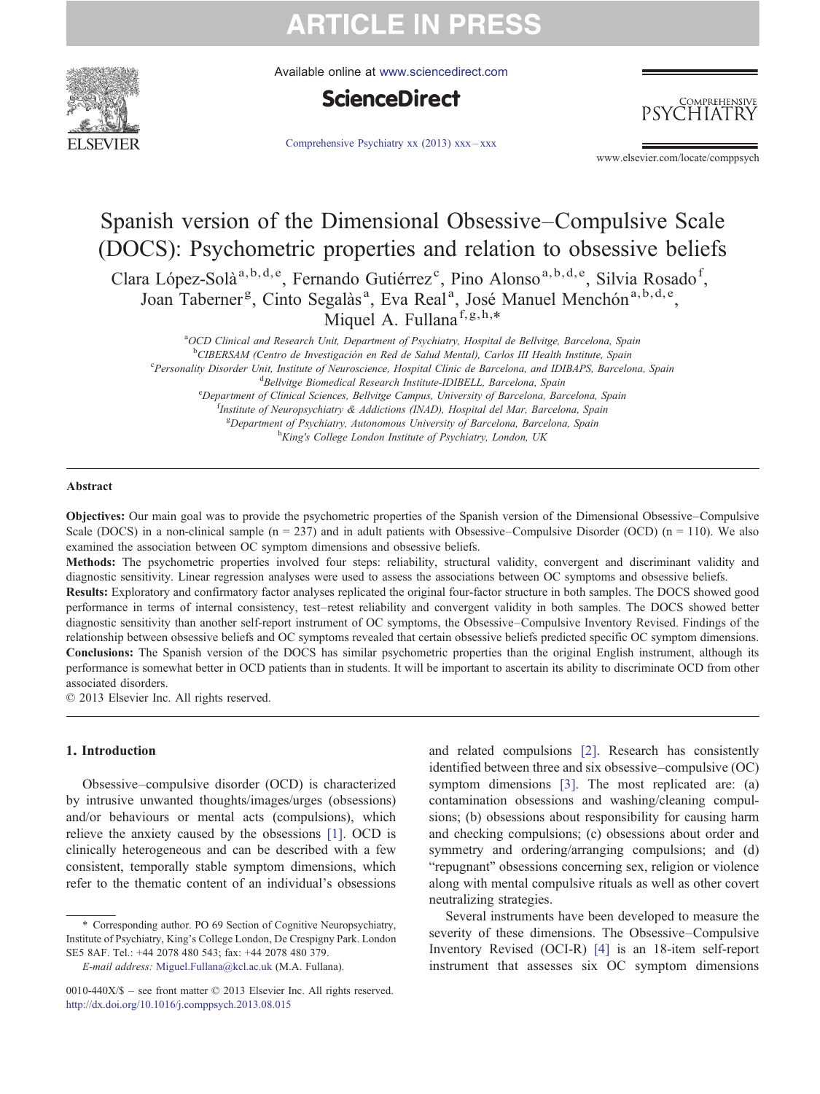

Available online at [www.sciencedirect.com](http://www.sciencedirect.com/science/journal/0010440X)



[Comprehensive Psychiatry xx \(2013\) xxx](http://dx.doi.org/10.1016/j.comppsych.2013.08.015)–xxx

**HIATR** 

COMPREHENSIVE

www.elsevier.com/locate/comppsych

### Spanish version of the Dimensional Obsessive–Compulsive Scale (DOCS): Psychometric properties and relation to obsessive beliefs Clara López-Solà<sup>a,b,d,e</sup>, Fernando Gutiérrez<sup>c</sup>, Pino Alonso<sup>a,b,d,e</sup>, Silvia Rosado<sup>f</sup>, Joan Taberner<sup>g</sup>, Cinto Segalàs<sup>a</sup>, Eva Real<sup>a</sup>, José Manuel Menchón<sup>a,b,d,e</sup>, Miquel A. Fullana<sup>f,g,h,\*</sup>

<sup>a</sup>OCD Clinical and Research Unit, Department of Psychiatry, Hospital de Bellvitge, Barcelona, Spain

<sup>b</sup>CIBERSAM (Centro de Investigación en Red de Salud Mental), Carlos III Health Institute, Spain<br><sup>C</sup>Parsonalin: Disordar Unit, Institute of Nauroscianes, Hospital Clínic de Barcelona, and IDIBAPS, Parcelo

<sup>c</sup>Personality Disorder Unit, Institute of Neuroscience, Hospital Clínic de Barcelona, and IDIBAPS, Barcelona, Spain <sup>d</sup>Bellvitge Biomedical Research Institute-IDIBELL, Barcelona, Spain

<sup>e</sup>Department of Clinical Sciences, Bellvitge Campus, University of Barcelona, Barcelona, Spain <sup>f</sup>Institute of Neuropsychiatry & Addictions (INAD), Hospital del Mar, Barcelona, Spain <sup>g</sup>Department of Psychiatry, Autonomous University of Barcelona, Barcelona, Spain<br>h King's College London Institute of Psychiatry, London UK <sup>h</sup>King's College London Institute of Psychiatry, London, UK

#### Abstract

Objectives: Our main goal was to provide the psychometric properties of the Spanish version of the Dimensional Obsessive–Compulsive Scale (DOCS) in a non-clinical sample  $(n = 237)$  and in adult patients with Obsessive–Compulsive Disorder (OCD)  $(n = 110)$ . We also examined the association between OC symptom dimensions and obsessive beliefs.

Methods: The psychometric properties involved four steps: reliability, structural validity, convergent and discriminant validity and diagnostic sensitivity. Linear regression analyses were used to assess the associations between OC symptoms and obsessive beliefs.

Results: Exploratory and confirmatory factor analyses replicated the original four-factor structure in both samples. The DOCS showed good performance in terms of internal consistency, test–retest reliability and convergent validity in both samples. The DOCS showed better diagnostic sensitivity than another self-report instrument of OC symptoms, the Obsessive–Compulsive Inventory Revised. Findings of the relationship between obsessive beliefs and OC symptoms revealed that certain obsessive beliefs predicted specific OC symptom dimensions. Conclusions: The Spanish version of the DOCS has similar psychometric properties than the original English instrument, although its performance is somewhat better in OCD patients than in students. It will be important to ascertain its ability to discriminate OCD from other associated disorders.

© 2013 Elsevier Inc. All rights reserved.

#### 1. Introduction

Obsessive–compulsive disorder (OCD) is characterized by intrusive unwanted thoughts/images/urges (obsessions) and/or behaviours or mental acts (compulsions), which relieve the anxiety caused by the obsessions [\[1\]](#page-7-0). OCD is clinically heterogeneous and can be described with a few consistent, temporally stable symptom dimensions, which refer to the thematic content of an individual's obsessions

⁎ Corresponding author. PO 69 Section of Cognitive Neuropsychiatry, Institute of Psychiatry, King's College London, De Crespigny Park. London SE5 8AF. Tel.: +44 2078 480 543; fax: +44 2078 480 379.

E-mail address: [Miguel.Fullana@kcl.ac.uk](mailto:Miguel.Fullana@kcl.ac.uk) (M.A. Fullana).

0010-440X/\$ – see front matter © 2013 Elsevier Inc. All rights reserved. <http://dx.doi.org/10.1016/j.comppsych.2013.08.015>

and related compulsions [\[2\]](#page-7-0). Research has consistently identified between three and six obsessive–compulsive (OC) symptom dimensions [\[3\].](#page-7-0) The most replicated are: (a) contamination obsessions and washing/cleaning compulsions; (b) obsessions about responsibility for causing harm and checking compulsions; (c) obsessions about order and symmetry and ordering/arranging compulsions; and (d) "repugnant" obsessions concerning sex, religion or violence along with mental compulsive rituals as well as other covert neutralizing strategies.

Several instruments have been developed to measure the severity of these dimensions. The Obsessive–Compulsive Inventory Revised (OCI-R) [\[4\]](#page-7-0) is an 18-item self-report instrument that assesses six OC symptom dimensions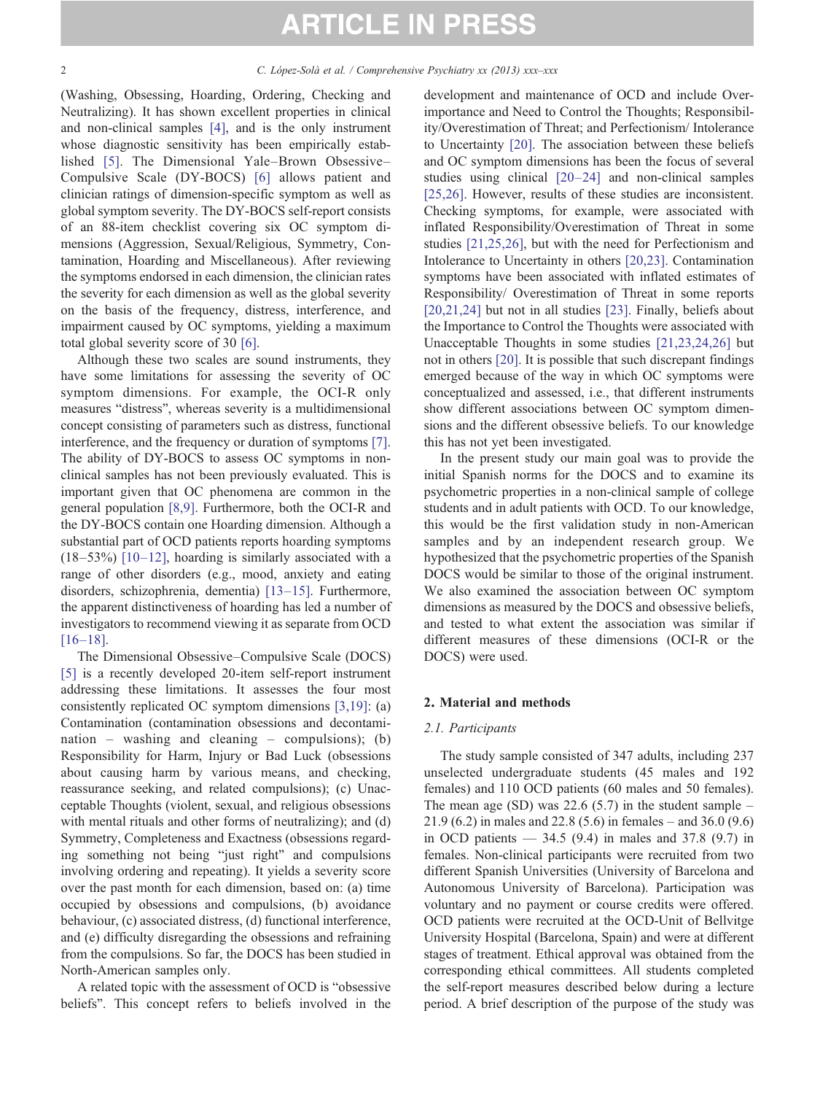(Washing, Obsessing, Hoarding, Ordering, Checking and Neutralizing). It has shown excellent properties in clinical and non-clinical samples [\[4\]](#page-7-0), and is the only instrument whose diagnostic sensitivity has been empirically established [\[5\].](#page-7-0) The Dimensional Yale–Brown Obsessive– Compulsive Scale (DY-BOCS) [\[6\]](#page-7-0) allows patient and clinician ratings of dimension-specific symptom as well as global symptom severity. The DY-BOCS self-report consists of an 88-item checklist covering six OC symptom dimensions (Aggression, Sexual/Religious, Symmetry, Contamination, Hoarding and Miscellaneous). After reviewing the symptoms endorsed in each dimension, the clinician rates the severity for each dimension as well as the global severity on the basis of the frequency, distress, interference, and impairment caused by OC symptoms, yielding a maximum total global severity score of 30 [\[6\].](#page-7-0)

Although these two scales are sound instruments, they have some limitations for assessing the severity of OC symptom dimensions. For example, the OCI-R only measures "distress", whereas severity is a multidimensional concept consisting of parameters such as distress, functional interference, and the frequency or duration of symptoms [\[7\].](#page-7-0) The ability of DY-BOCS to assess OC symptoms in nonclinical samples has not been previously evaluated. This is important given that OC phenomena are common in the general population [\[8,9\]](#page-7-0). Furthermore, both the OCI-R and the DY-BOCS contain one Hoarding dimension. Although a substantial part of OCD patients reports hoarding symptoms  $(18–53%)$  [\[10](#page-7-0)–12], hoarding is similarly associated with a range of other disorders (e.g., mood, anxiety and eating disorders, schizophrenia, dementia) [13–[15\].](#page-7-0) Furthermore, the apparent distinctiveness of hoarding has led a number of investigators to recommend viewing it as separate from OCD [\[16](#page-7-0)–18].

The Dimensional Obsessive–Compulsive Scale (DOCS) [\[5\]](#page-7-0) is a recently developed 20-item self-report instrument addressing these limitations. It assesses the four most consistently replicated OC symptom dimensions [\[3,19\]](#page-7-0): (a) Contamination (contamination obsessions and decontamination – washing and cleaning – compulsions); (b) Responsibility for Harm, Injury or Bad Luck (obsessions about causing harm by various means, and checking, reassurance seeking, and related compulsions); (c) Unacceptable Thoughts (violent, sexual, and religious obsessions with mental rituals and other forms of neutralizing); and (d) Symmetry, Completeness and Exactness (obsessions regarding something not being "just right" and compulsions involving ordering and repeating). It yields a severity score over the past month for each dimension, based on: (a) time occupied by obsessions and compulsions, (b) avoidance behaviour, (c) associated distress, (d) functional interference, and (e) difficulty disregarding the obsessions and refraining from the compulsions. So far, the DOCS has been studied in North-American samples only.

A related topic with the assessment of OCD is "obsessive beliefs". This concept refers to beliefs involved in the

development and maintenance of OCD and include Overimportance and Need to Control the Thoughts; Responsibility/Overestimation of Threat; and Perfectionism/ Intolerance to Uncertainty [\[20\].](#page-7-0) The association between these beliefs and OC symptom dimensions has been the focus of several studies using clinical [20–[24\]](#page-7-0) and non-clinical samples [\[25,26\].](#page-7-0) However, results of these studies are inconsistent. Checking symptoms, for example, were associated with inflated Responsibility/Overestimation of Threat in some studies [\[21,25,26\]](#page-7-0), but with the need for Perfectionism and Intolerance to Uncertainty in others [\[20,23\].](#page-7-0) Contamination symptoms have been associated with inflated estimates of Responsibility/ Overestimation of Threat in some reports [\[20,21,24\]](#page-7-0) but not in all studies [\[23\]](#page-7-0). Finally, beliefs about the Importance to Control the Thoughts were associated with Unacceptable Thoughts in some studies [\[21,23,24,26\]](#page-7-0) but not in others [\[20\]](#page-7-0). It is possible that such discrepant findings emerged because of the way in which OC symptoms were conceptualized and assessed, i.e., that different instruments show different associations between OC symptom dimensions and the different obsessive beliefs. To our knowledge this has not yet been investigated.

In the present study our main goal was to provide the initial Spanish norms for the DOCS and to examine its psychometric properties in a non-clinical sample of college students and in adult patients with OCD. To our knowledge, this would be the first validation study in non-American samples and by an independent research group. We hypothesized that the psychometric properties of the Spanish DOCS would be similar to those of the original instrument. We also examined the association between OC symptom dimensions as measured by the DOCS and obsessive beliefs, and tested to what extent the association was similar if different measures of these dimensions (OCI-R or the DOCS) were used.

#### 2. Material and methods

#### 2.1. Participants

The study sample consisted of 347 adults, including 237 unselected undergraduate students (45 males and 192 females) and 110 OCD patients (60 males and 50 females). The mean age (SD) was  $22.6$  (5.7) in the student sample – 21.9 (6.2) in males and 22.8 (5.6) in females – and 36.0 (9.6) in OCD patients  $-34.5$  (9.4) in males and 37.8 (9.7) in females. Non-clinical participants were recruited from two different Spanish Universities (University of Barcelona and Autonomous University of Barcelona). Participation was voluntary and no payment or course credits were offered. OCD patients were recruited at the OCD-Unit of Bellvitge University Hospital (Barcelona, Spain) and were at different stages of treatment. Ethical approval was obtained from the corresponding ethical committees. All students completed the self-report measures described below during a lecture period. A brief description of the purpose of the study was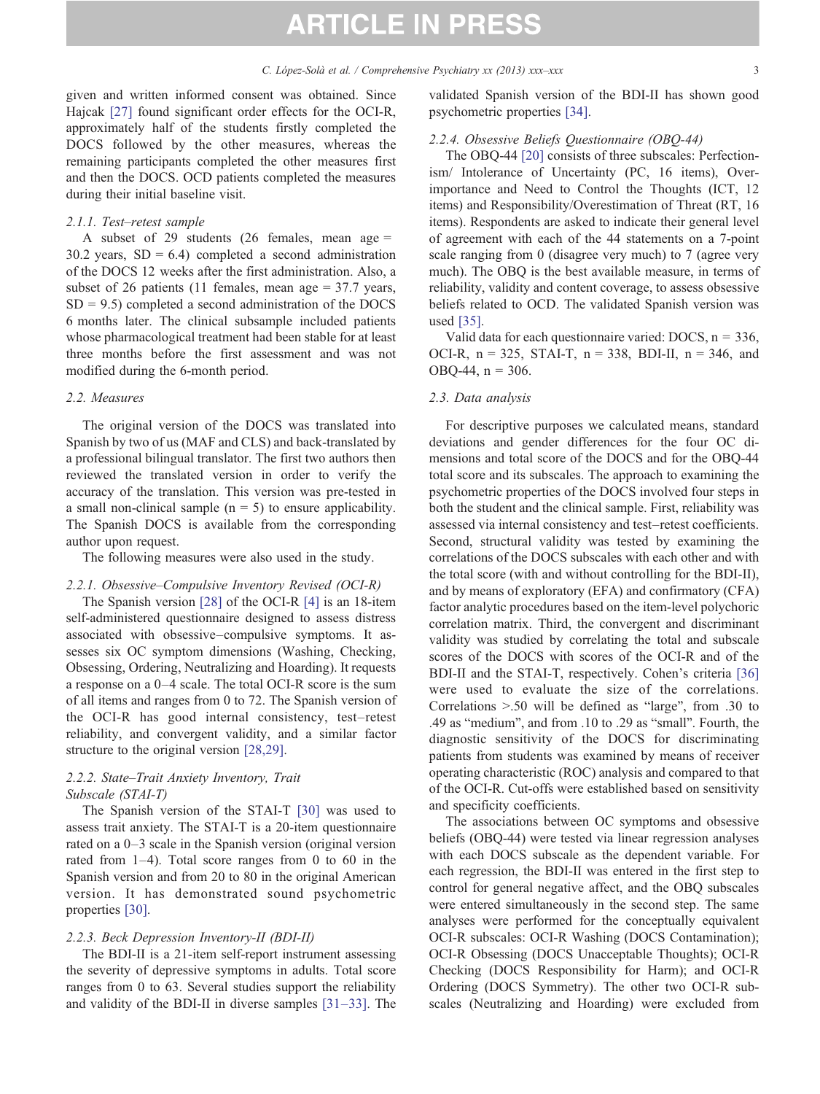given and written informed consent was obtained. Since Hajcak [\[27\]](#page-7-0) found significant order effects for the OCI-R, approximately half of the students firstly completed the DOCS followed by the other measures, whereas the remaining participants completed the other measures first and then the DOCS. OCD patients completed the measures during their initial baseline visit.

#### 2.1.1. Test–retest sample

A subset of 29 students (26 females, mean age = 30.2 years,  $SD = 6.4$ ) completed a second administration of the DOCS 12 weeks after the first administration. Also, a subset of 26 patients (11 females, mean age = 37.7 years,  $SD = 9.5$ ) completed a second administration of the DOCS 6 months later. The clinical subsample included patients whose pharmacological treatment had been stable for at least three months before the first assessment and was not modified during the 6-month period.

#### 2.2. Measures

The original version of the DOCS was translated into Spanish by two of us (MAF and CLS) and back-translated by a professional bilingual translator. The first two authors then reviewed the translated version in order to verify the accuracy of the translation. This version was pre-tested in a small non-clinical sample  $(n = 5)$  to ensure applicability. The Spanish DOCS is available from the corresponding author upon request.

The following measures were also used in the study.

#### 2.2.1. Obsessive–Compulsive Inventory Revised (OCI-R)

The Spanish version [\[28\]](#page-7-0) of the OCI-R [\[4\]](#page-7-0) is an 18-item self-administered questionnaire designed to assess distress associated with obsessive–compulsive symptoms. It assesses six OC symptom dimensions (Washing, Checking, Obsessing, Ordering, Neutralizing and Hoarding). It requests a response on a 0–4 scale. The total OCI-R score is the sum of all items and ranges from 0 to 72. The Spanish version of the OCI-R has good internal consistency, test–retest reliability, and convergent validity, and a similar factor structure to the original version [\[28,29\].](#page-7-0)

#### 2.2.2. State–Trait Anxiety Inventory, Trait Subscale (STAI-T)

The Spanish version of the STAI-T [\[30\]](#page-7-0) was used to assess trait anxiety. The STAI-T is a 20-item questionnaire rated on a 0–3 scale in the Spanish version (original version rated from 1–4). Total score ranges from 0 to 60 in the Spanish version and from 20 to 80 in the original American version. It has demonstrated sound psychometric properties [\[30\].](#page-7-0)

#### 2.2.3. Beck Depression Inventory-II (BDI-II)

The BDI-II is a 21-item self-report instrument assessing the severity of depressive symptoms in adults. Total score ranges from 0 to 63. Several studies support the reliability and validity of the BDI-II in diverse samples [31–[33\].](#page-8-0) The

validated Spanish version of the BDI-II has shown good psychometric properties [\[34\].](#page-8-0)

#### 2.2.4. Obsessive Beliefs Questionnaire (OBQ-44)

The OBQ-44 [\[20\]](#page-7-0) consists of three subscales: Perfectionism/ Intolerance of Uncertainty (PC, 16 items), Overimportance and Need to Control the Thoughts (ICT, 12 items) and Responsibility/Overestimation of Threat (RT, 16 items). Respondents are asked to indicate their general level of agreement with each of the 44 statements on a 7-point scale ranging from 0 (disagree very much) to 7 (agree very much). The OBQ is the best available measure, in terms of reliability, validity and content coverage, to assess obsessive beliefs related to OCD. The validated Spanish version was used [\[35\]](#page-8-0).

Valid data for each questionnaire varied:  $DOCS$ ,  $n = 336$ , OCI-R,  $n = 325$ , STAI-T,  $n = 338$ , BDI-II,  $n = 346$ , and OBQ-44,  $n = 306$ .

#### 2.3. Data analysis

For descriptive purposes we calculated means, standard deviations and gender differences for the four OC dimensions and total score of the DOCS and for the OBQ-44 total score and its subscales. The approach to examining the psychometric properties of the DOCS involved four steps in both the student and the clinical sample. First, reliability was assessed via internal consistency and test–retest coefficients. Second, structural validity was tested by examining the correlations of the DOCS subscales with each other and with the total score (with and without controlling for the BDI-II), and by means of exploratory (EFA) and confirmatory (CFA) factor analytic procedures based on the item-level polychoric correlation matrix. Third, the convergent and discriminant validity was studied by correlating the total and subscale scores of the DOCS with scores of the OCI-R and of the BDI-II and the STAI-T, respectively. Cohen's criteria [\[36\]](#page-8-0) were used to evaluate the size of the correlations. Correlations  $> 0.50$  will be defined as "large", from .30 to .49 as "medium", and from .10 to .29 as "small". Fourth, the diagnostic sensitivity of the DOCS for discriminating patients from students was examined by means of receiver operating characteristic (ROC) analysis and compared to that of the OCI-R. Cut-offs were established based on sensitivity and specificity coefficients.

The associations between OC symptoms and obsessive beliefs (OBQ-44) were tested via linear regression analyses with each DOCS subscale as the dependent variable. For each regression, the BDI-II was entered in the first step to control for general negative affect, and the OBQ subscales were entered simultaneously in the second step. The same analyses were performed for the conceptually equivalent OCI-R subscales: OCI-R Washing (DOCS Contamination); OCI-R Obsessing (DOCS Unacceptable Thoughts); OCI-R Checking (DOCS Responsibility for Harm); and OCI-R Ordering (DOCS Symmetry). The other two OCI-R subscales (Neutralizing and Hoarding) were excluded from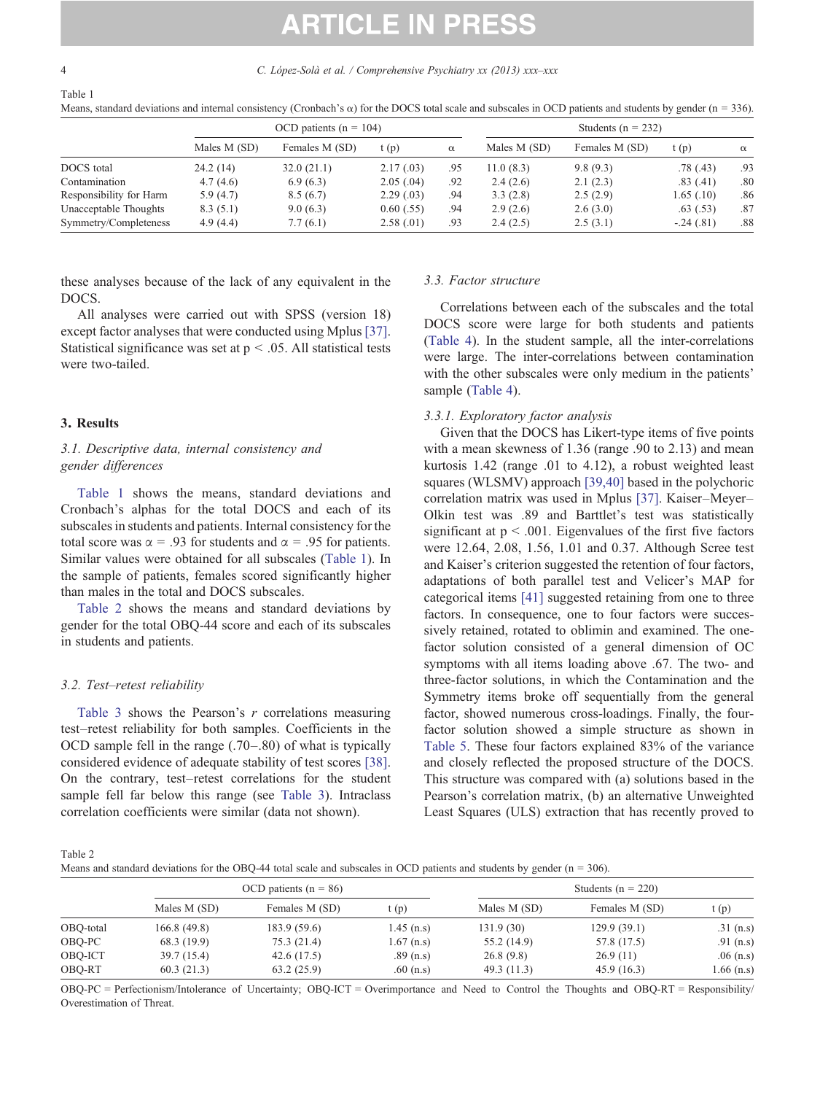4 C. López-Solà et al. / Comprehensive Psychiatry xx (2013) xxx–xxx

Table 1

Means, standard deviations and internal consistency (Cronbach's  $\alpha$ ) for the DOCS total scale and subscales in OCD patients and students by gender (n = 336).

|                         |              | OCD patients ( $n = 104$ ) |                | Students ( $n = 232$ ) |              |                |             |          |  |
|-------------------------|--------------|----------------------------|----------------|------------------------|--------------|----------------|-------------|----------|--|
|                         | Males M (SD) | Females M (SD)             | t(p)           | $\alpha$               | Males M (SD) | Females M (SD) | t(p)        | $\alpha$ |  |
| DOCS total              | 24.2(14)     | 32.0(21.1)                 | 2.17(0.03)     | .95                    | 11.0 (8.3)   | 9.8(9.3)       | .78(0.43)   | .93      |  |
| Contamination           | 4.7(4.6)     | 6.9(6.3)                   | 2.05(.04)      | .92                    | 2.4(2.6)     | 2.1(2.3)       | .83(.41)    | .80      |  |
| Responsibility for Harm | 5.9(4.7)     | 8.5(6.7)                   | 2.29(0.03)     | .94                    | 3.3(2.8)     | 2.5(2.9)       | 1.65(0.10)  | .86      |  |
| Unacceptable Thoughts   | 8.3(5.1)     | 9.0(6.3)                   | $0.60$ $(.55)$ | .94                    | 2.9(2.6)     | 2.6(3.0)       | .63(.53)    | .87      |  |
| Symmetry/Completeness   | 4.9(4.4)     | 7.7(6.1)                   | 2.58(0.01)     | .93                    | 2.4(2.5)     | 2.5(3.1)       | $-.24(.81)$ | .88      |  |

these analyses because of the lack of any equivalent in the DOCS.

All analyses were carried out with SPSS (version 18) except factor analyses that were conducted using Mplus [\[37\].](#page-8-0) Statistical significance was set at  $p < .05$ . All statistical tests were two-tailed.

#### 3. Results

### 3.1. Descriptive data, internal consistency and gender differences

Table 1 shows the means, standard deviations and Cronbach's alphas for the total DOCS and each of its subscales in students and patients. Internal consistency for the total score was  $\alpha = .93$  for students and  $\alpha = .95$  for patients. Similar values were obtained for all subscales (Table 1). In the sample of patients, females scored significantly higher than males in the total and DOCS subscales.

Table 2 shows the means and standard deviations by gender for the total OBQ-44 score and each of its subscales in students and patients.

#### 3.2. Test–retest reliability

[Table 3](#page-4-0) shows the Pearson's  $r$  correlations measuring test–retest reliability for both samples. Coefficients in the OCD sample fell in the range (.70–.80) of what is typically considered evidence of adequate stability of test scores [\[38\].](#page-8-0) On the contrary, test–retest correlations for the student sample fell far below this range (see [Table 3](#page-4-0)). Intraclass correlation coefficients were similar (data not shown).

#### 3.3. Factor structure

Correlations between each of the subscales and the total DOCS score were large for both students and patients [\(Table 4\)](#page-4-0). In the student sample, all the inter-correlations were large. The inter-correlations between contamination with the other subscales were only medium in the patients' sample [\(Table 4\)](#page-4-0).

#### 3.3.1. Exploratory factor analysis

Given that the DOCS has Likert-type items of five points with a mean skewness of 1.36 (range .90 to 2.13) and mean kurtosis 1.42 (range .01 to 4.12), a robust weighted least squares (WLSMV) approach [\[39,40\]](#page-8-0) based in the polychoric correlation matrix was used in Mplus [\[37\]](#page-8-0). Kaiser–Meyer– Olkin test was .89 and Barttlet's test was statistically significant at  $p < .001$ . Eigenvalues of the first five factors were 12.64, 2.08, 1.56, 1.01 and 0.37. Although Scree test and Kaiser's criterion suggested the retention of four factors, adaptations of both parallel test and Velicer's MAP for categorical items [\[41\]](#page-8-0) suggested retaining from one to three factors. In consequence, one to four factors were successively retained, rotated to oblimin and examined. The onefactor solution consisted of a general dimension of OC symptoms with all items loading above .67. The two- and three-factor solutions, in which the Contamination and the Symmetry items broke off sequentially from the general factor, showed numerous cross-loadings. Finally, the fourfactor solution showed a simple structure as shown in [Table 5](#page-5-0). These four factors explained 83% of the variance and closely reflected the proposed structure of the DOCS. This structure was compared with (a) solutions based in the Pearson's correlation matrix, (b) an alternative Unweighted Least Squares (ULS) extraction that has recently proved to

Table 2

Means and standard deviations for the OBQ-44 total scale and subscales in OCD patients and students by gender  $(n = 306)$ .

|           |              | OCD patients ( $n = 86$ ) |              | Students ( $n = 220$ ) |                |             |  |  |
|-----------|--------------|---------------------------|--------------|------------------------|----------------|-------------|--|--|
|           | Males M (SD) | Females M (SD)            | t (p)        | Males M (SD)           | Females M (SD) | t (p)       |  |  |
| OBQ-total | 166.8(49.8)  | 183.9 (59.6)              | $1.45$ (n.s) | 131.9 (30)             | 129.9(39.1)    | $.31$ (n.s) |  |  |
| OBO-PC    | 68.3 (19.9)  | 75.3(21.4)                | $1.67$ (n.s) | 55.2 (14.9)            | 57.8 (17.5)    | .91 $(n.s)$ |  |  |
| OBO-ICT   | 39.7 (15.4)  | 42.6 $(17.5)$             | $.89$ (n.s)  | 26.8(9.8)              | 26.9(11)       | $.06$ (n.s) |  |  |
| OBO-RT    | 60.3(21.3)   | 63.2(25.9)                | $.60$ (n.s)  | 49.3 (11.3)            | 45.9(16.3)     | 1.66 (n.s)  |  |  |

OBQ-PC = Perfectionism/Intolerance of Uncertainty; OBQ-ICT = Overimportance and Need to Control the Thoughts and OBQ-RT = Responsibility/ Overestimation of Threat.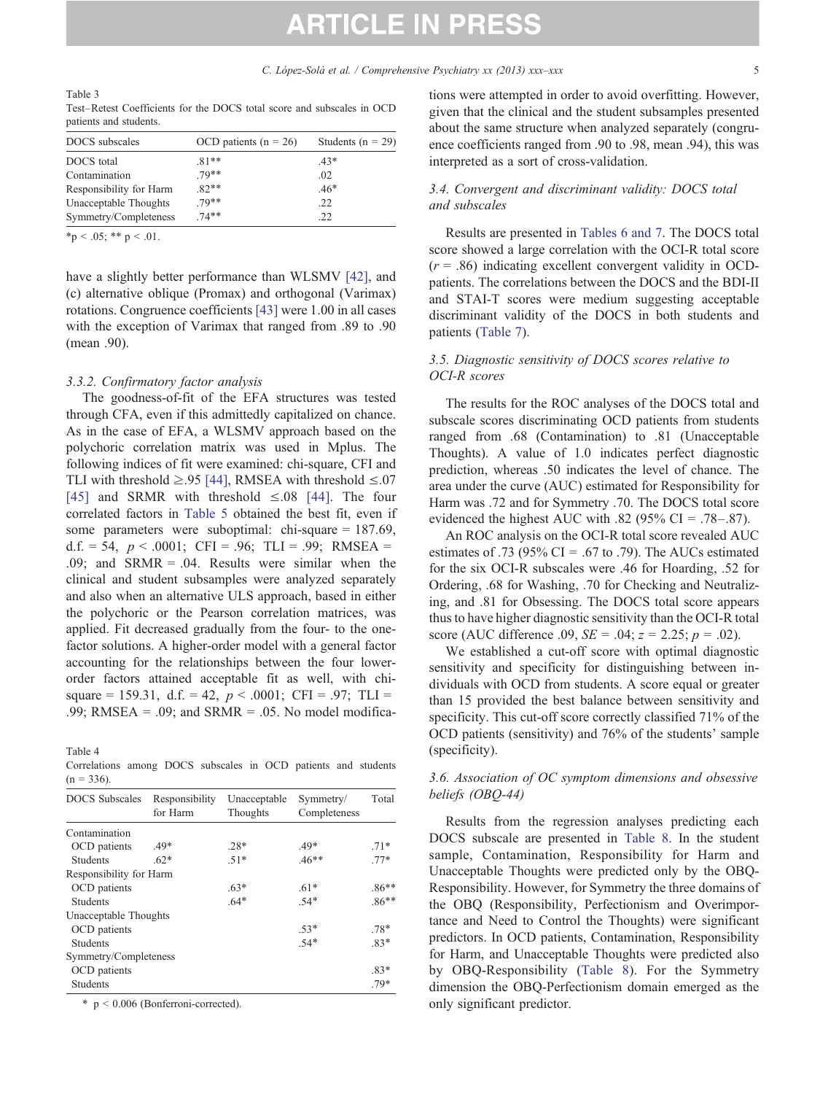<span id="page-4-0"></span>Table 3 Test–Retest Coefficients for the DOCS total score and subscales in OCD patients and students.

| DOCS subscales          | OCD patients $(n = 26)$ | Students ( $n = 29$ ) |
|-------------------------|-------------------------|-----------------------|
| DOCS total              | $.81**$                 | $.43*$                |
| Contamination           | $.79**$                 | .02                   |
| Responsibility for Harm | $.82**$                 | $.46*$                |
| Unacceptable Thoughts   | $.79**$                 | .22                   |
| Symmetry/Completeness   | $74**$                  | .22                   |

 $*$  p < .05; \*\* p < .01.

have a slightly better performance than WLSMV [\[42\],](#page-8-0) and (c) alternative oblique (Promax) and orthogonal (Varimax) rotations. Congruence coefficients [\[43\]](#page-8-0) were 1.00 in all cases with the exception of Varimax that ranged from .89 to .90 (mean .90).

#### 3.3.2. Confirmatory factor analysis

The goodness-of-fit of the EFA structures was tested through CFA, even if this admittedly capitalized on chance. As in the case of EFA, a WLSMV approach based on the polychoric correlation matrix was used in Mplus. The following indices of fit were examined: chi-square, CFI and TLI with threshold  $\geq 95$  [\[44\],](#page-8-0) RMSEA with threshold  $\leq 07$ [\[45\]](#page-8-0) and SRMR with threshold  $\leq .08$  [\[44\]](#page-8-0). The four correlated factors in [Table 5](#page-5-0) obtained the best fit, even if some parameters were suboptimal: chi-square = 187.69, d.f. = 54,  $p < .0001$ ; CFI = .96; TLI = .99; RMSEA = .09; and SRMR = .04. Results were similar when the clinical and student subsamples were analyzed separately and also when an alternative ULS approach, based in either the polychoric or the Pearson correlation matrices, was applied. Fit decreased gradually from the four- to the onefactor solutions. A higher-order model with a general factor accounting for the relationships between the four lowerorder factors attained acceptable fit as well, with chisquare = 159.31, d.f. = 42,  $p < .0001$ ; CFI = .97; TLI = .99; RMSEA = .09; and SRMR = .05. No model modifica-

Table 4

Correlations among DOCS subscales in OCD patients and students  $(n = 336)$ 

| <b>DOCS</b> Subscales   | Responsibility<br>for Harm | Unacceptable<br>Thoughts | Symmetry/<br>Completeness | Total   |  |
|-------------------------|----------------------------|--------------------------|---------------------------|---------|--|
| Contamination           |                            |                          |                           |         |  |
| OCD patients            | $.49*$                     | $.28*$                   | $.49*$                    | $.71*$  |  |
| <b>Students</b>         | $.62*$                     | $.51*$                   | $.46**$                   | $.77*$  |  |
| Responsibility for Harm |                            |                          |                           |         |  |
| OCD patients            |                            | $.63*$                   | $.61*$                    | $.86**$ |  |
| <b>Students</b>         |                            | $.64*$                   | $.54*$                    | $.86**$ |  |
| Unacceptable Thoughts   |                            |                          |                           |         |  |
| OCD patients            |                            |                          | $.53*$                    | $.78*$  |  |
| <b>Students</b>         |                            |                          | $.54*$                    | $.83*$  |  |
| Symmetry/Completeness   |                            |                          |                           |         |  |
| OCD patients            |                            |                          |                           | $.83*$  |  |
| Students                |                            |                          |                           | $.79*$  |  |

 $*$  p < 0.006 (Bonferroni-corrected).

tions were attempted in order to avoid overfitting. However, given that the clinical and the student subsamples presented about the same structure when analyzed separately (congruence coefficients ranged from .90 to .98, mean .94), this was interpreted as a sort of cross-validation.

### 3.4. Convergent and discriminant validity: DOCS total and subscales

Results are presented in [Tables 6 and 7.](#page-5-0) The DOCS total score showed a large correlation with the OCI-R total score  $(r = .86)$  indicating excellent convergent validity in OCDpatients. The correlations between the DOCS and the BDI-II and STAI-T scores were medium suggesting acceptable discriminant validity of the DOCS in both students and patients ([Table 7](#page-6-0)).

#### 3.5. Diagnostic sensitivity of DOCS scores relative to OCI-R scores

The results for the ROC analyses of the DOCS total and subscale scores discriminating OCD patients from students ranged from .68 (Contamination) to .81 (Unacceptable Thoughts). A value of 1.0 indicates perfect diagnostic prediction, whereas .50 indicates the level of chance. The area under the curve (AUC) estimated for Responsibility for Harm was .72 and for Symmetry .70. The DOCS total score evidenced the highest AUC with .82 (95% CI = .78–.87).

An ROC analysis on the OCI-R total score revealed AUC estimates of .73 (95%  $CI = .67$  to .79). The AUCs estimated for the six OCI-R subscales were .46 for Hoarding, .52 for Ordering, .68 for Washing, .70 for Checking and Neutralizing, and .81 for Obsessing. The DOCS total score appears thus to have higher diagnostic sensitivity than the OCI-R total score (AUC difference .09,  $SE = .04$ ;  $z = 2.25$ ;  $p = .02$ ).

We established a cut-off score with optimal diagnostic sensitivity and specificity for distinguishing between individuals with OCD from students. A score equal or greater than 15 provided the best balance between sensitivity and specificity. This cut-off score correctly classified 71% of the OCD patients (sensitivity) and 76% of the students' sample (specificity).

#### 3.6. Association of OC symptom dimensions and obsessive beliefs (OBQ-44)

Results from the regression analyses predicting each DOCS subscale are presented in [Table 8](#page-6-0). In the student sample, Contamination, Responsibility for Harm and Unacceptable Thoughts were predicted only by the OBQ-Responsibility. However, for Symmetry the three domains of the OBQ (Responsibility, Perfectionism and Overimportance and Need to Control the Thoughts) were significant predictors. In OCD patients, Contamination, Responsibility for Harm, and Unacceptable Thoughts were predicted also by OBQ-Responsibility [\(Table 8\)](#page-6-0). For the Symmetry dimension the OBQ-Perfectionism domain emerged as the only significant predictor.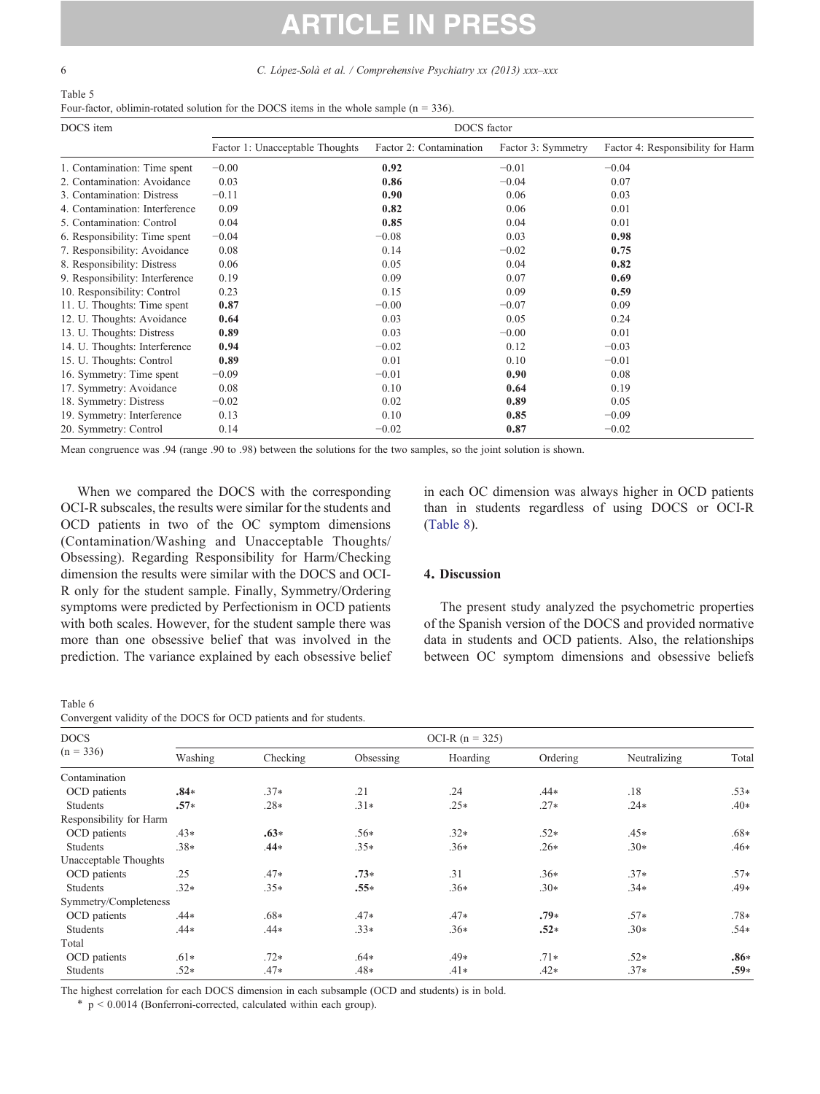Table 6

# **ARTICLE IN PRESS**

<span id="page-5-0"></span>6 C. López-Solà et al. / Comprehensive Psychiatry xx (2013) xxx–xxx

| Table 5                                                                                    |
|--------------------------------------------------------------------------------------------|
| Four-factor, oblimin-rotated solution for the DOCS items in the whole sample $(n = 336)$ . |

| DOCS item                       | DOCS factor                     |                         |                    |                                   |  |  |  |  |  |
|---------------------------------|---------------------------------|-------------------------|--------------------|-----------------------------------|--|--|--|--|--|
|                                 | Factor 1: Unacceptable Thoughts | Factor 2: Contamination | Factor 3: Symmetry | Factor 4: Responsibility for Harm |  |  |  |  |  |
| 1. Contamination: Time spent    | $-0.00$                         | 0.92                    | $-0.01$            | $-0.04$                           |  |  |  |  |  |
| 2. Contamination: Avoidance     | 0.03                            | 0.86                    | $-0.04$            | 0.07                              |  |  |  |  |  |
| 3. Contamination: Distress      | $-0.11$                         | 0.90                    | 0.06               | 0.03                              |  |  |  |  |  |
| 4. Contamination: Interference  | 0.09                            | 0.82                    | 0.06               | 0.01                              |  |  |  |  |  |
| 5. Contamination: Control       | 0.04                            | 0.85                    | 0.04               | 0.01                              |  |  |  |  |  |
| 6. Responsibility: Time spent   | $-0.04$                         | $-0.08$                 | 0.03               | 0.98                              |  |  |  |  |  |
| 7. Responsibility: Avoidance    | 0.08                            | 0.14                    | $-0.02$            | 0.75                              |  |  |  |  |  |
| 8. Responsibility: Distress     | 0.06                            | 0.05                    | 0.04               | 0.82                              |  |  |  |  |  |
| 9. Responsibility: Interference | 0.19                            | 0.09                    | 0.07               | 0.69                              |  |  |  |  |  |
| 10. Responsibility: Control     | 0.23                            | 0.15                    | 0.09               | 0.59                              |  |  |  |  |  |
| 11. U. Thoughts: Time spent     | 0.87                            | $-0.00$                 | $-0.07$            | 0.09                              |  |  |  |  |  |
| 12. U. Thoughts: Avoidance      | 0.64                            | 0.03                    | 0.05               | 0.24                              |  |  |  |  |  |
| 13. U. Thoughts: Distress       | 0.89                            | 0.03                    | $-0.00$            | 0.01                              |  |  |  |  |  |
| 14. U. Thoughts: Interference   | 0.94                            | $-0.02$                 | 0.12               | $-0.03$                           |  |  |  |  |  |
| 15. U. Thoughts: Control        | 0.89                            | 0.01                    | 0.10               | $-0.01$                           |  |  |  |  |  |
| 16. Symmetry: Time spent        | $-0.09$                         | $-0.01$                 | 0.90               | 0.08                              |  |  |  |  |  |
| 17. Symmetry: Avoidance         | 0.08                            | 0.10                    | 0.64               | 0.19                              |  |  |  |  |  |
| 18. Symmetry: Distress          | $-0.02$                         | 0.02                    | 0.89               | 0.05                              |  |  |  |  |  |
| 19. Symmetry: Interference      | 0.13                            | 0.10                    | 0.85               | $-0.09$                           |  |  |  |  |  |
| 20. Symmetry: Control           | 0.14                            | $-0.02$                 | 0.87               | $-0.02$                           |  |  |  |  |  |

Mean congruence was .94 (range .90 to .98) between the solutions for the two samples, so the joint solution is shown.

When we compared the DOCS with the corresponding OCI-R subscales, the results were similar for the students and OCD patients in two of the OC symptom dimensions (Contamination/Washing and Unacceptable Thoughts/ Obsessing). Regarding Responsibility for Harm/Checking dimension the results were similar with the DOCS and OCI-R only for the student sample. Finally, Symmetry/Ordering symptoms were predicted by Perfectionism in OCD patients with both scales. However, for the student sample there was more than one obsessive belief that was involved in the prediction. The variance explained by each obsessive belief

Convergent validity of the DOCS for OCD patients and for students.

in each OC dimension was always higher in OCD patients than in students regardless of using DOCS or OCI-R [\(Table 8\)](#page-6-0).

#### 4. Discussion

The present study analyzed the psychometric properties of the Spanish version of the DOCS and provided normative data in students and OCD patients. Also, the relationships between OC symptom dimensions and obsessive beliefs

| <b>DOCS</b><br>$(n = 336)$ |         |          |           | OCI-R $(n = 325)$ |          |              |        |
|----------------------------|---------|----------|-----------|-------------------|----------|--------------|--------|
|                            | Washing | Checking | Obsessing | Hoarding          | Ordering | Neutralizing | Total  |
| Contamination              |         |          |           |                   |          |              |        |
| OCD patients               | $.84*$  | $.37*$   | .21       | .24               | $.44*$   | .18          | $.53*$ |
| Students                   | $.57*$  | $.28*$   | $.31*$    | $.25*$            | $.27*$   | $.24*$       | $.40*$ |
| Responsibility for Harm    |         |          |           |                   |          |              |        |
| OCD patients               | $.43*$  | $.63*$   | $.56*$    | $.32*$            | $.52*$   | $.45*$       | $.68*$ |
| Students                   | $.38*$  | $.44*$   | $.35*$    | $.36*$            | $.26*$   | $.30*$       | $.46*$ |
| Unacceptable Thoughts      |         |          |           |                   |          |              |        |
| OCD patients               | .25     | $.47*$   | $.73*$    | .31               | $.36*$   | $.37*$       | $.57*$ |
| Students                   | $.32*$  | $.35*$   | $.55*$    | $.36*$            | $.30*$   | $.34*$       | $.49*$ |
| Symmetry/Completeness      |         |          |           |                   |          |              |        |
| OCD patients               | .44*    | $.68*$   | $.47*$    | $.47*$            | $.79*$   | $.57*$       | $.78*$ |
| <b>Students</b>            | .44*    | $.44*$   | $.33*$    | $.36*$            | $.52*$   | $.30*$       | $.54*$ |
| Total                      |         |          |           |                   |          |              |        |
| OCD patients               | $.61*$  | $.72*$   | $.64*$    | .49*              | $.71*$   | $.52*$       | $.86*$ |
| Students                   | $.52*$  | $.47*$   | $.48*$    | $.41*$            | $.42*$   | $.37*$       | $.59*$ |
|                            |         |          |           |                   |          |              |        |

The highest correlation for each DOCS dimension in each subsample (OCD and students) is in bold.

 $*$  p < 0.0014 (Bonferroni-corrected, calculated within each group).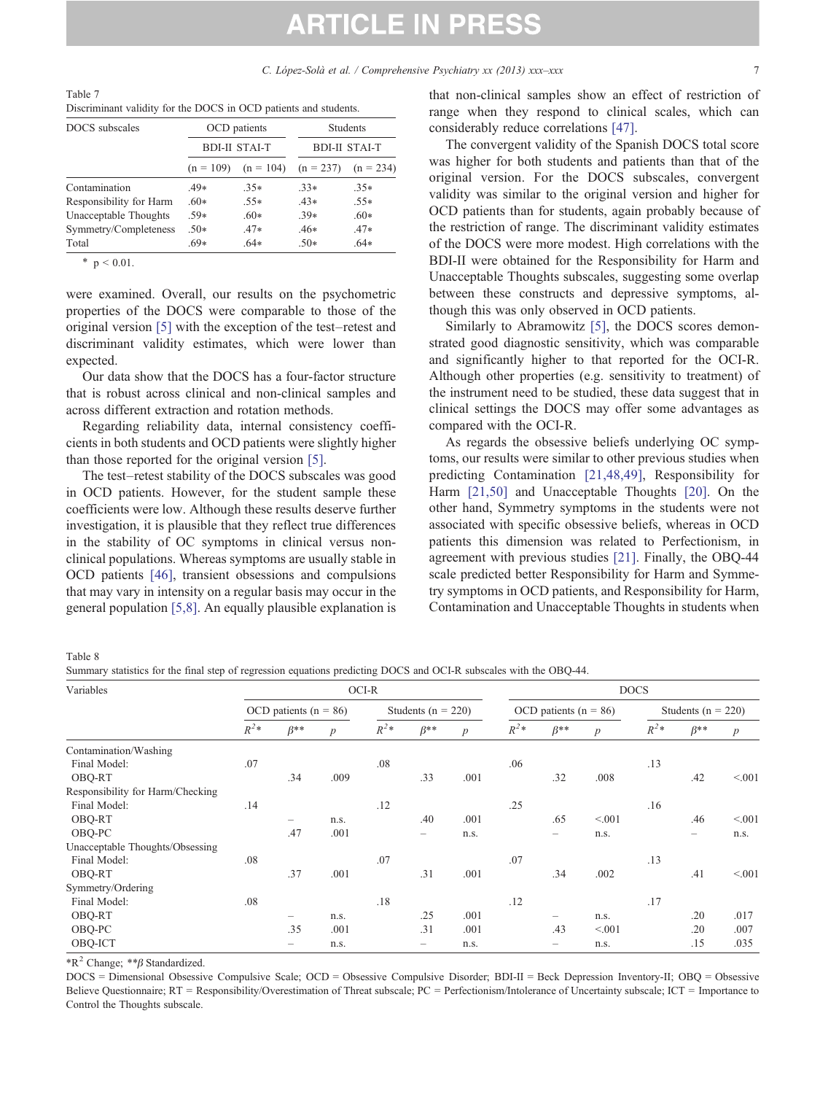<span id="page-6-0"></span>Table 7 Discriminant validity for the DOCS in OCD patients and students.

| DOCS subscales          |             | OCD patients         | <b>Students</b><br><b>BDI-II STAI-T</b> |             |  |  |
|-------------------------|-------------|----------------------|-----------------------------------------|-------------|--|--|
|                         |             | <b>BDI-II STAI-T</b> |                                         |             |  |  |
|                         | $(n = 109)$ | $(n = 104)$          | $(n = 237)$                             | $(n = 234)$ |  |  |
| Contamination           | $.49*$      | $.35*$               | $.33*$                                  | $.35*$      |  |  |
| Responsibility for Harm | $.60*$      | $.55*$               | $.43*$                                  | $.55*$      |  |  |
| Unacceptable Thoughts   | $.59*$      | $.60*$               | $.39*$                                  | $.60*$      |  |  |
| Symmetry/Completeness   | $50*$       | $.47*$               | $.46*$                                  | $.47*$      |  |  |
| Total                   | $.69*$      | $.64*$               | $.50*$                                  | $.64*$      |  |  |

\*  $p < 0.01$ .

were examined. Overall, our results on the psychometric properties of the DOCS were comparable to those of the original version [\[5\]](#page-7-0) with the exception of the test–retest and discriminant validity estimates, which were lower than expected.

Our data show that the DOCS has a four-factor structure that is robust across clinical and non-clinical samples and across different extraction and rotation methods.

Regarding reliability data, internal consistency coefficients in both students and OCD patients were slightly higher than those reported for the original version [\[5\]](#page-7-0).

The test–retest stability of the DOCS subscales was good in OCD patients. However, for the student sample these coefficients were low. Although these results deserve further investigation, it is plausible that they reflect true differences in the stability of OC symptoms in clinical versus nonclinical populations. Whereas symptoms are usually stable in OCD patients [\[46\]](#page-8-0), transient obsessions and compulsions that may vary in intensity on a regular basis may occur in the general population [\[5,8\].](#page-7-0) An equally plausible explanation is that non-clinical samples show an effect of restriction of range when they respond to clinical scales, which can considerably reduce correlations [\[47\].](#page-8-0)

The convergent validity of the Spanish DOCS total score was higher for both students and patients than that of the original version. For the DOCS subscales, convergent validity was similar to the original version and higher for OCD patients than for students, again probably because of the restriction of range. The discriminant validity estimates of the DOCS were more modest. High correlations with the BDI-II were obtained for the Responsibility for Harm and Unacceptable Thoughts subscales, suggesting some overlap between these constructs and depressive symptoms, although this was only observed in OCD patients.

Similarly to Abramowitz [\[5\]](#page-7-0), the DOCS scores demonstrated good diagnostic sensitivity, which was comparable and significantly higher to that reported for the OCI-R. Although other properties (e.g. sensitivity to treatment) of the instrument need to be studied, these data suggest that in clinical settings the DOCS may offer some advantages as compared with the OCI-R.

As regards the obsessive beliefs underlying OC symptoms, our results were similar to other previous studies when predicting Contamination [\[21,48,49\]](#page-7-0), Responsibility for Harm [\[21,50\]](#page-7-0) and Unacceptable Thoughts [\[20\]](#page-7-0). On the other hand, Symmetry symptoms in the students were not associated with specific obsessive beliefs, whereas in OCD patients this dimension was related to Perfectionism, in agreement with previous studies [\[21\].](#page-7-0) Finally, the OBQ-44 scale predicted better Responsibility for Harm and Symmetry symptoms in OCD patients, and Responsibility for Harm, Contamination and Unacceptable Thoughts in students when

Table 8

Summary statistics for the final step of regression equations predicting DOCS and OCI-R subscales with the OBQ-44.

| Variables                        |                           |                          |                  | OCI-R                  |                                       |                           | <b>DOCS</b> |                          |                        |        |                          |                  |
|----------------------------------|---------------------------|--------------------------|------------------|------------------------|---------------------------------------|---------------------------|-------------|--------------------------|------------------------|--------|--------------------------|------------------|
|                                  | OCD patients ( $n = 86$ ) |                          |                  | Students ( $n = 220$ ) |                                       | OCD patients ( $n = 86$ ) |             |                          | Students ( $n = 220$ ) |        |                          |                  |
|                                  | $R^2*$                    | $\beta^{**}$             | $\boldsymbol{p}$ | $R^2*$                 | $\beta^{**}$                          | $\boldsymbol{p}$          | $R^2*$      | $\beta^{**}$             | $\boldsymbol{p}$       | $R^2*$ | $\beta^{**}$             | $\boldsymbol{p}$ |
| Contamination/Washing            |                           |                          |                  |                        |                                       |                           |             |                          |                        |        |                          |                  |
| Final Model:                     | .07                       |                          |                  | .08                    |                                       |                           | .06         |                          |                        | .13    |                          |                  |
| OBQ-RT                           |                           | .34                      | .009             |                        | .33                                   | .001                      |             | .32                      | .008                   |        | .42                      | < 0.01           |
| Responsibility for Harm/Checking |                           |                          |                  |                        |                                       |                           |             |                          |                        |        |                          |                  |
| Final Model:                     | .14                       |                          |                  | .12                    |                                       |                           | .25         |                          |                        | .16    |                          |                  |
| OBQ-RT                           |                           | $\overline{\phantom{0}}$ | n.s.             |                        | .40                                   | .001                      |             | .65                      | < 0.01                 |        | .46                      | < 0.01           |
| OBQ-PC                           |                           | .47                      | .001             |                        |                                       | n.s.                      |             | $\overline{\phantom{0}}$ | n.s.                   |        | $\overline{\phantom{0}}$ | n.s.             |
| Unacceptable Thoughts/Obsessing  |                           |                          |                  |                        |                                       |                           |             |                          |                        |        |                          |                  |
| Final Model:                     | .08                       |                          |                  | .07                    |                                       |                           | .07         |                          |                        | .13    |                          |                  |
| OBQ-RT                           |                           | .37                      | .001             |                        | .31                                   | .001                      |             | .34                      | .002                   |        | .41                      | < 0.01           |
| Symmetry/Ordering                |                           |                          |                  |                        |                                       |                           |             |                          |                        |        |                          |                  |
| Final Model:                     | .08                       |                          |                  | .18                    |                                       |                           | .12         |                          |                        | .17    |                          |                  |
| OBQ-RT                           |                           | $\overline{\phantom{0}}$ | n.s.             |                        | .25                                   | .001                      |             | -                        | n.s.                   |        | .20                      | .017             |
| OBQ-PC                           |                           | .35                      | .001             |                        | .31                                   | .001                      |             | .43                      | < 0.01                 |        | .20                      | .007             |
| OBQ-ICT                          |                           | -                        | n.s.             |                        | $\hspace{1.0cm} \rule{1.5cm}{0.15cm}$ | n.s.                      |             |                          | n.s.                   |        | .15                      | .035             |

 $*R^2$  Change;  $** \beta$  Standardized.

DOCS = Dimensional Obsessive Compulsive Scale; OCD = Obsessive Compulsive Disorder; BDI-II = Beck Depression Inventory-II; OBQ = Obsessive Believe Questionnaire; RT = Responsibility/Overestimation of Threat subscale; PC = Perfectionism/Intolerance of Uncertainty subscale; ICT = Importance to Control the Thoughts subscale.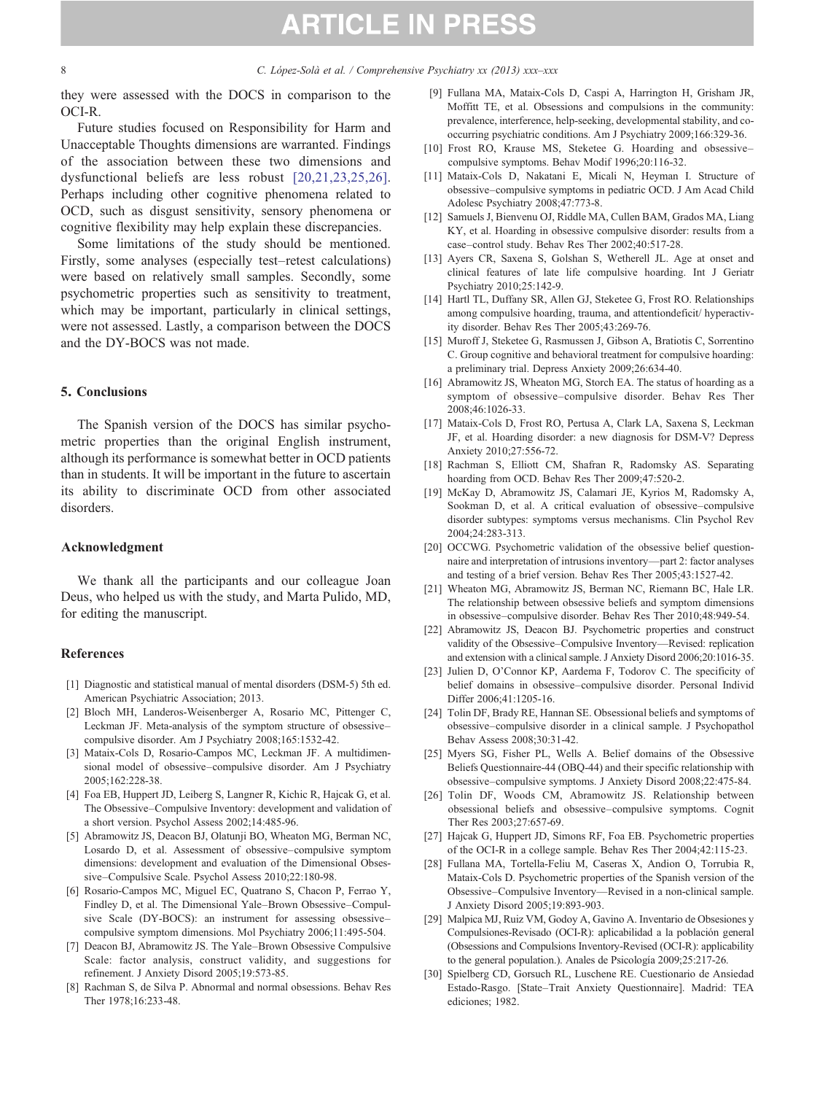<span id="page-7-0"></span>8 C. López-Solà et al. / Comprehensive Psychiatry xx (2013) xxx–xxx

they were assessed with the DOCS in comparison to the OCI-R.

Future studies focused on Responsibility for Harm and Unacceptable Thoughts dimensions are warranted. Findings of the association between these two dimensions and dysfunctional beliefs are less robust [20,21,23,25,26]. Perhaps including other cognitive phenomena related to OCD, such as disgust sensitivity, sensory phenomena or cognitive flexibility may help explain these discrepancies.

Some limitations of the study should be mentioned. Firstly, some analyses (especially test–retest calculations) were based on relatively small samples. Secondly, some psychometric properties such as sensitivity to treatment, which may be important, particularly in clinical settings, were not assessed. Lastly, a comparison between the DOCS and the DY-BOCS was not made.

#### 5. Conclusions

The Spanish version of the DOCS has similar psychometric properties than the original English instrument, although its performance is somewhat better in OCD patients than in students. It will be important in the future to ascertain its ability to discriminate OCD from other associated disorders.

#### Acknowledgment

We thank all the participants and our colleague Joan Deus, who helped us with the study, and Marta Pulido, MD, for editing the manuscript.

#### References

- [1] Diagnostic and statistical manual of mental disorders (DSM-5) 5th ed. American Psychiatric Association; 2013.
- [2] Bloch MH, Landeros-Weisenberger A, Rosario MC, Pittenger C, Leckman JF. Meta-analysis of the symptom structure of obsessive– compulsive disorder. Am J Psychiatry 2008;165:1532-42.
- [3] Mataix-Cols D, Rosario-Campos MC, Leckman JF. A multidimensional model of obsessive–compulsive disorder. Am J Psychiatry 2005;162:228-38.
- [4] Foa EB, Huppert JD, Leiberg S, Langner R, Kichic R, Hajcak G, et al. The Obsessive–Compulsive Inventory: development and validation of a short version. Psychol Assess 2002;14:485-96.
- [5] Abramowitz JS, Deacon BJ, Olatunji BO, Wheaton MG, Berman NC, Losardo D, et al. Assessment of obsessive–compulsive symptom dimensions: development and evaluation of the Dimensional Obsessive–Compulsive Scale. Psychol Assess 2010;22:180-98.
- [6] Rosario-Campos MC, Miguel EC, Quatrano S, Chacon P, Ferrao Y, Findley D, et al. The Dimensional Yale–Brown Obsessive–Compulsive Scale (DY-BOCS): an instrument for assessing obsessive– compulsive symptom dimensions. Mol Psychiatry 2006;11:495-504.
- [7] Deacon BJ, Abramowitz JS. The Yale–Brown Obsessive Compulsive Scale: factor analysis, construct validity, and suggestions for refinement. J Anxiety Disord 2005;19:573-85.
- [8] Rachman S, de Silva P. Abnormal and normal obsessions. Behav Res Ther 1978;16:233-48.
- [9] Fullana MA, Mataix-Cols D, Caspi A, Harrington H, Grisham JR, Moffitt TE, et al. Obsessions and compulsions in the community: prevalence, interference, help-seeking, developmental stability, and cooccurring psychiatric conditions. Am J Psychiatry 2009;166:329-36.
- [10] Frost RO, Krause MS, Steketee G. Hoarding and obsessivecompulsive symptoms. Behav Modif 1996;20:116-32.
- [11] Mataix-Cols D, Nakatani E, Micali N, Heyman I. Structure of obsessive–compulsive symptoms in pediatric OCD. J Am Acad Child Adolesc Psychiatry 2008;47:773-8.
- [12] Samuels J, Bienvenu OJ, Riddle MA, Cullen BAM, Grados MA, Liang KY, et al. Hoarding in obsessive compulsive disorder: results from a case–control study. Behav Res Ther 2002;40:517-28.
- [13] Ayers CR, Saxena S, Golshan S, Wetherell JL. Age at onset and clinical features of late life compulsive hoarding. Int J Geriatr Psychiatry 2010;25:142-9.
- [14] Hartl TL, Duffany SR, Allen GJ, Steketee G, Frost RO. Relationships among compulsive hoarding, trauma, and attentiondeficit/ hyperactivity disorder. Behav Res Ther 2005;43:269-76.
- [15] Muroff J, Steketee G, Rasmussen J, Gibson A, Bratiotis C, Sorrentino C. Group cognitive and behavioral treatment for compulsive hoarding: a preliminary trial. Depress Anxiety 2009;26:634-40.
- [16] Abramowitz JS, Wheaton MG, Storch EA. The status of hoarding as a symptom of obsessive–compulsive disorder. Behav Res Ther 2008;46:1026-33.
- [17] Mataix-Cols D, Frost RO, Pertusa A, Clark LA, Saxena S, Leckman JF, et al. Hoarding disorder: a new diagnosis for DSM-V? Depress Anxiety 2010;27:556-72.
- [18] Rachman S, Elliott CM, Shafran R, Radomsky AS. Separating hoarding from OCD. Behav Res Ther 2009;47:520-2.
- [19] McKay D, Abramowitz JS, Calamari JE, Kyrios M, Radomsky A, Sookman D, et al. A critical evaluation of obsessive–compulsive disorder subtypes: symptoms versus mechanisms. Clin Psychol Rev 2004;24:283-313.
- [20] OCCWG. Psychometric validation of the obsessive belief questionnaire and interpretation of intrusions inventory—part 2: factor analyses and testing of a brief version. Behav Res Ther 2005;43:1527-42.
- [21] Wheaton MG, Abramowitz JS, Berman NC, Riemann BC, Hale LR. The relationship between obsessive beliefs and symptom dimensions in obsessive–compulsive disorder. Behav Res Ther 2010;48:949-54.
- [22] Abramowitz JS, Deacon BJ. Psychometric properties and construct validity of the Obsessive–Compulsive Inventory—Revised: replication and extension with a clinical sample. J Anxiety Disord 2006;20:1016-35.
- [23] Julien D, O'Connor KP, Aardema F, Todorov C. The specificity of belief domains in obsessive–compulsive disorder. Personal Individ Differ 2006;41:1205-16.
- [24] Tolin DF, Brady RE, Hannan SE. Obsessional beliefs and symptoms of obsessive–compulsive disorder in a clinical sample. J Psychopathol Behav Assess 2008;30:31-42.
- [25] Myers SG, Fisher PL, Wells A. Belief domains of the Obsessive Beliefs Questionnaire-44 (OBQ-44) and their specific relationship with obsessive–compulsive symptoms. J Anxiety Disord 2008;22:475-84.
- [26] Tolin DF, Woods CM, Abramowitz JS. Relationship between obsessional beliefs and obsessive–compulsive symptoms. Cognit Ther Res 2003;27:657-69.
- [27] Hajcak G, Huppert JD, Simons RF, Foa EB. Psychometric properties of the OCI-R in a college sample. Behav Res Ther 2004;42:115-23.
- [28] Fullana MA, Tortella-Feliu M, Caseras X, Andion O, Torrubia R, Mataix-Cols D. Psychometric properties of the Spanish version of the Obsessive–Compulsive Inventory—Revised in a non-clinical sample. J Anxiety Disord 2005;19:893-903.
- [29] Malpica MJ, Ruiz VM, Godoy A, Gavino A. Inventario de Obsesiones y Compulsiones-Revisado (OCI-R): aplicabilidad a la población general (Obsessions and Compulsions Inventory-Revised (OCI-R): applicability to the general population.). Anales de Psicología 2009;25:217-26.
- [30] Spielberg CD, Gorsuch RL, Luschene RE. Cuestionario de Ansiedad Estado-Rasgo. [State–Trait Anxiety Questionnaire]. Madrid: TEA ediciones; 1982.